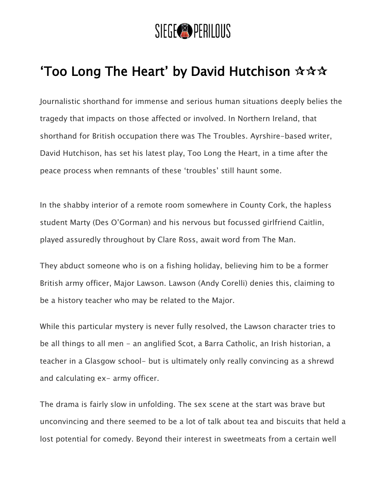

## 'Too Long The Heart' by David Hutchison  $\mathbf{\hat{x}} \mathbf{\hat{x}} \mathbf{\hat{x}}$

Journalistic shorthand for immense and serious human situations deeply belies the tragedy that impacts on those affected or involved. In Northern Ireland, that shorthand for British occupation there was The Troubles. Ayrshire-based writer, David Hutchison, has set his latest play, Too Long the Heart, in a time after the peace process when remnants of these 'troubles' still haunt some.

In the shabby interior of a remote room somewhere in County Cork, the hapless student Marty (Des O'Gorman) and his nervous but focussed girlfriend Caitlin, played assuredly throughout by Clare Ross, await word from The Man.

They abduct someone who is on a fishing holiday, believing him to be a former British army officer, Major Lawson. Lawson (Andy Corelli) denies this, claiming to be a history teacher who may be related to the Major.

While this particular mystery is never fully resolved, the Lawson character tries to be all things to all men - an anglified Scot, a Barra Catholic, an Irish historian, a teacher in a Glasgow school- but is ultimately only really convincing as a shrewd and calculating ex- army officer.

The drama is fairly slow in unfolding. The sex scene at the start was brave but unconvincing and there seemed to be a lot of talk about tea and biscuits that held a lost potential for comedy. Beyond their interest in sweetmeats from a certain well